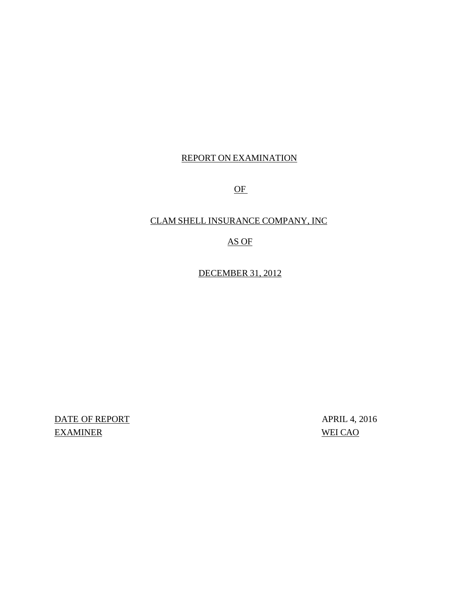## REPORT ON EXAMINATION

OF

## CLAM SHELL INSURANCE COMPANY, INC

## AS OF

DECEMBER 31, 2012

DATE OF REPORT APRIL 4, 2016 EXAMINER WEI CAO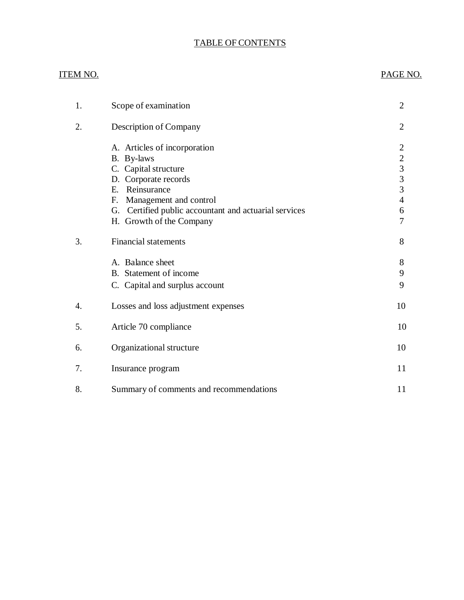## TABLE OF CONTENTS

## ITEM NO. PAGE NO.

| 1.               | Scope of examination                                                                                                                                                                                                              | $\overline{2}$                                                                                    |
|------------------|-----------------------------------------------------------------------------------------------------------------------------------------------------------------------------------------------------------------------------------|---------------------------------------------------------------------------------------------------|
| 2.               | Description of Company                                                                                                                                                                                                            | $\overline{2}$                                                                                    |
|                  | A. Articles of incorporation<br>B. By-laws<br>C. Capital structure<br>D. Corporate records<br>E. Reinsurance<br>Management and control<br>F.<br>G. Certified public accountant and actuarial services<br>H. Growth of the Company | $\overline{2}$<br>$\sqrt{2}$<br>$\overline{3}$<br>$\overline{3}$<br>3<br>$\overline{4}$<br>6<br>7 |
| 3.               | <b>Financial statements</b>                                                                                                                                                                                                       | 8                                                                                                 |
|                  | A. Balance sheet<br>B. Statement of income<br>C. Capital and surplus account                                                                                                                                                      | 8<br>9<br>9                                                                                       |
| $\overline{4}$ . | Losses and loss adjustment expenses                                                                                                                                                                                               | 10                                                                                                |
| 5.               | Article 70 compliance                                                                                                                                                                                                             | 10                                                                                                |
| 6.               | Organizational structure                                                                                                                                                                                                          | 10                                                                                                |
| 7.               | Insurance program                                                                                                                                                                                                                 | 11                                                                                                |
| 8.               | Summary of comments and recommendations                                                                                                                                                                                           | 11                                                                                                |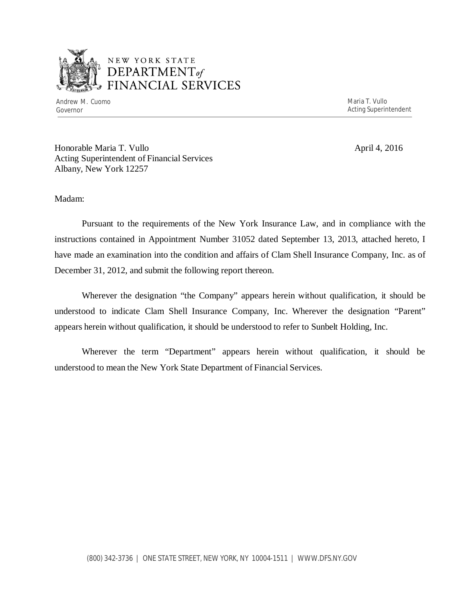

## NEW YORK STATE <sup>1</sup>*DEPARTMENTof*  FINANCIAL SERVICES

Andrew M. Cuomo **Maria T. Vullo** Maria T. Vullo Maria T. Vullo Maria T. Vullo Maria T. Vullo Maria T. Vullo Maria T. Vullo

Governor **Acting Superintendent Contract Superintendent Acting Superintendent** 

Honorable Maria T. Vullo April 4, 2016 Acting Superintendent of Financial Services Albany, New York 12257

Madam:

Pursuant to the requirements of the New York Insurance Law, and in compliance with the instructions contained in Appointment Number 31052 dated September 13, 2013, attached hereto, I have made an examination into the condition and affairs of Clam Shell Insurance Company, Inc. as of December 31, 2012, and submit the following report thereon.

Wherever the designation "the Company" appears herein without qualification, it should be understood to indicate Clam Shell Insurance Company, Inc. Wherever the designation "Parent" appears herein without qualification, it should be understood to refer to Sunbelt Holding, Inc.

Wherever the term "Department" appears herein without qualification, it should be understood to mean the New York State Department of Financial Services.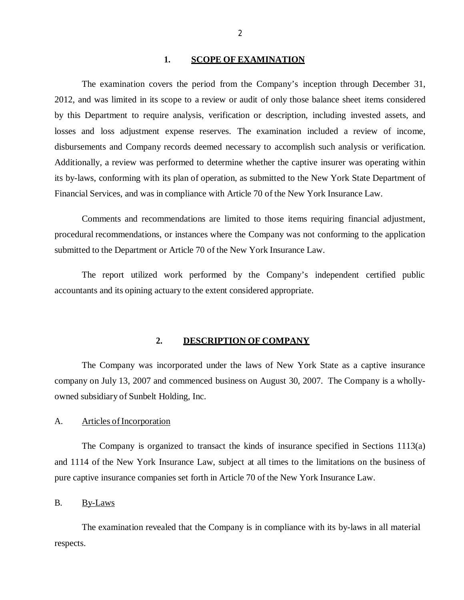#### **1. SCOPE OF EXAMINATION**

<span id="page-3-0"></span>The examination covers the period from the Company's inception through December 31, 2012, and was limited in its scope to a review or audit of only those balance sheet items considered by this Department to require analysis, verification or description, including invested assets, and losses and loss adjustment expense reserves. The examination included a review of income, disbursements and Company records deemed necessary to accomplish such analysis or verification. Additionally, a review was performed to determine whether the captive insurer was operating within its by-laws, conforming with its plan of operation, as submitted to the New York State Department of Financial Services, and was in compliance with Article 70 of the New York Insurance Law.

Comments and recommendations are limited to those items requiring financial adjustment, procedural recommendations, or instances where the Company was not conforming to the application submitted to the Department or Article 70 of the New York Insurance Law.

The report utilized work performed by the Company's independent certified public accountants and its opining actuary to the extent considered appropriate.

#### **2. DESCRIPTION OF COMPANY**

The Company was incorporated under the laws of New York State as a captive insurance company on July 13, 2007 and commenced business on August 30, 2007. The Company is a whollyowned subsidiary of Sunbelt Holding, Inc.

#### A. Articles of Incorporation

The Company is organized to transact the kinds of insurance specified in Sections 1113(a) and 1114 of the New York Insurance Law, subject at all times to the limitations on the business of pure captive insurance companies set forth in Article 70 of the New York Insurance Law.

B. By-Laws

The examination revealed that the Company is in compliance with its by-laws in all material respects.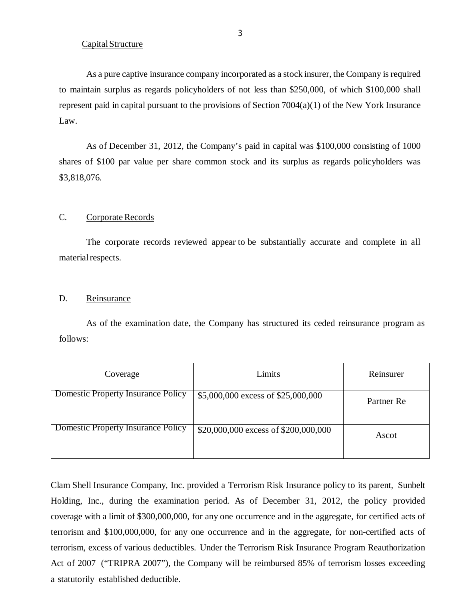#### Capital Structure

As a pure captive insurance company incorporated as a stock insurer, the Company is required to maintain surplus as regards policyholders of not less than \$250,000, of which \$100,000 shall represent paid in capital pursuant to the provisions of Section 7004(a)(1) of the New York Insurance Law.

As of December 31, 2012, the Company's paid in capital was \$100,000 consisting of 1000 shares of \$100 par value per share common stock and its surplus as regards policyholders was \$3,818,076.

## C. Corporate Records

The corporate records reviewed appear to be substantially accurate and complete in all material respects.

#### D. Reinsurance

As of the examination date, the Company has structured its ceded reinsurance program as follows:

| Coverage                                  | Limits                               | Reinsurer  |
|-------------------------------------------|--------------------------------------|------------|
| <b>Domestic Property Insurance Policy</b> | \$5,000,000 excess of \$25,000,000   | Partner Re |
| <b>Domestic Property Insurance Policy</b> | \$20,000,000 excess of \$200,000,000 | Ascot      |

Clam Shell Insurance Company, Inc. provided a Terrorism Risk Insurance policy to its parent, Sunbelt Holding, Inc., during the examination period. As of December 31, 2012, the policy provided coverage with a limit of \$300,000,000, for any one occurrence and in the aggregate, for certified acts of terrorism and \$100,000,000, for any one occurrence and in the aggregate, for non-certified acts of terrorism, excess of various deductibles. Under the Terrorism Risk Insurance Program Reauthorization Act of 2007 ("TRIPRA 2007"), the Company will be reimbursed 85% of terrorism losses exceeding a statutorily established deductible.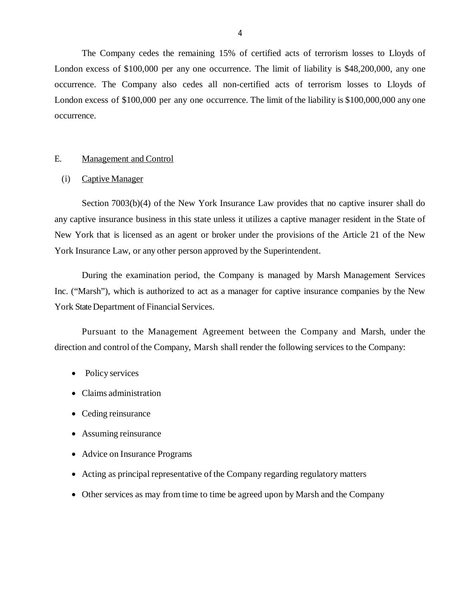<span id="page-5-0"></span>The Company cedes the remaining 15% of certified acts of terrorism losses to Lloyds of London excess of \$100,000 per any one occurrence. The limit of liability is \$48,200,000, any one occurrence. The Company also cedes all non-certified acts of terrorism losses to Lloyds of London excess of \$100,000 per any one occurrence. The limit of the liability is \$100,000,000 any one occurrence.

### E. Management and Control

#### (i) Captive Manager

Section 7003(b)(4) of the New York Insurance Law provides that no captive insurer shall do any captive insurance business in this state unless it utilizes a captive manager resident in the State of New York that is licensed as an agent or broker under the provisions of the Article 21 of the New York Insurance Law, or any other person approved by the Superintendent.

During the examination period, the Company is managed by Marsh Management Services Inc. ("Marsh"), which is authorized to act as a manager for captive insurance companies by the New York State Department of Financial Services.

Pursuant to the Management Agreement between the Company and Marsh, under the direction and control of the Company, Marsh shall render the following services to the Company:

- Policy services
- Claims administration
- Ceding reinsurance
- Assuming reinsurance
- Advice on Insurance Programs
- Acting as principal representative of the Company regarding regulatory matters
- Other services as may from time to time be agreed upon by Marsh and the Company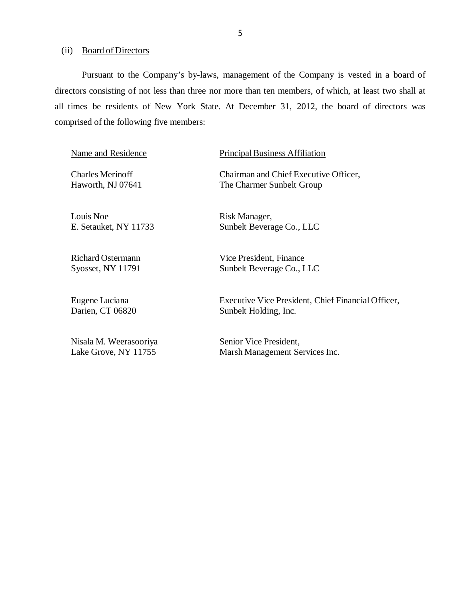(ii) Board of Directors

Pursuant to the Company's by-laws, management of the Company is vested in a board of directors consisting of not less than three nor more than ten members, of which, at least two shall at all times be residents of New York State. At December 31, 2012, the board of directors was comprised of the following five members:

Louis Noe Risk Manager,

Name and Residence Principal Business Affiliation

Charles Merinoff Chairman and Chief Executive Officer, Haworth, NJ 07641 The Charmer Sunbelt Group

E. Setauket, NY 11733 Sunbelt Beverage Co., LLC

Richard Ostermann Vice President, Finance Syosset, NY 11791 Sunbelt Beverage Co., LLC

Eugene Luciana Executive Vice President, Chief Financial Officer, Darien, CT 06820 Sunbelt Holding, Inc.

Nisala M. Weerasooriya Senior Vice President, Lake Grove, NY 11755 Marsh Management Services Inc.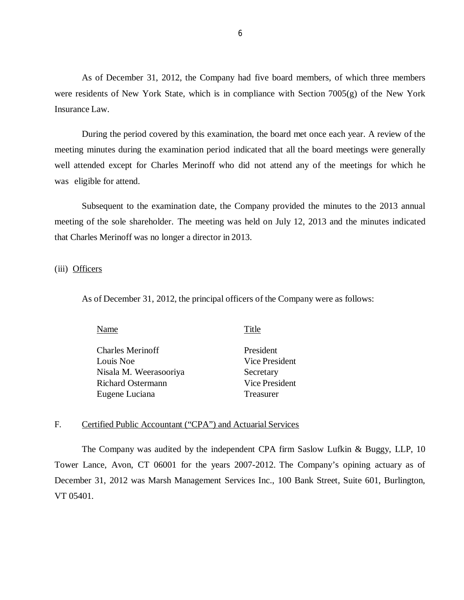As of December 31, 2012, the Company had five board members, of which three members were residents of New York State, which is in compliance with Section 7005(g) of the New York Insurance Law.

During the period covered by this examination, the board met once each year. A review of the meeting minutes during the examination period indicated that all the board meetings were generally well attended except for Charles Merinoff who did not attend any of the meetings for which he was eligible for attend.

Subsequent to the examination date, the Company provided the minutes to the 2013 annual meeting of the sole shareholder. The meeting was held on July 12, 2013 and the minutes indicated that Charles Merinoff was no longer a director in 2013.

#### (iii) Officers

As of December 31, 2012, the principal officers of the Company were as follows:

| Name                     | Title          |
|--------------------------|----------------|
| <b>Charles Merinoff</b>  | President      |
| Louis Noe                | Vice President |
| Nisala M. Weerasooriya   | Secretary      |
| <b>Richard Ostermann</b> | Vice President |
| Eugene Luciana           | Treasurer      |
|                          |                |

#### F. Certified Public Accountant ("CPA") and Actuarial Services

The Company was audited by the independent CPA firm Saslow Lufkin & Buggy, LLP, 10 Tower Lance, Avon, CT 06001 for the years 2007-2012. The Company's opining actuary as of December 31, 2012 was Marsh Management Services Inc., 100 Bank Street, Suite 601, Burlington, VT 05401.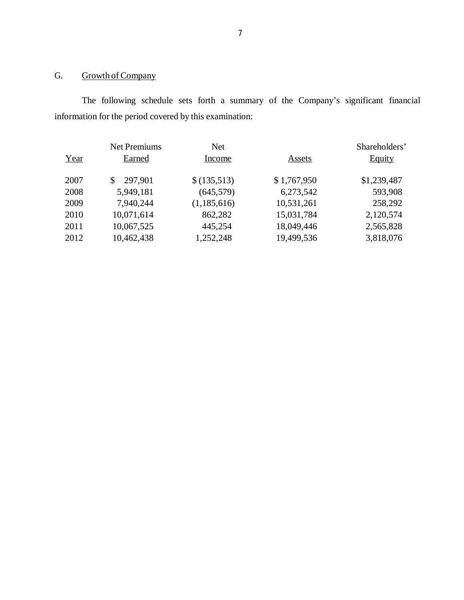## G. Growth of Company

The following schedule sets forth a summary of the Company's significant financial information for the period covered by this examination:

|      | <b>Net Premiums</b> | <b>Net</b>  |             | Shareholders' |
|------|---------------------|-------------|-------------|---------------|
| Year | Earned              | Income      | Assets      | <b>Equity</b> |
| 2007 | 297,901<br>\$       | \$(135,513) | \$1,767,950 | \$1,239,487   |
| 2008 | 5,949,181           | (645, 579)  | 6,273,542   | 593,908       |
| 2009 | 7,940,244           | (1,185,616) | 10,531,261  | 258,292       |
| 2010 | 10,071,614          | 862,282     | 15,031,784  | 2,120,574     |
| 2011 | 10,067,525          | 445,254     | 18,049,446  | 2,565,828     |
| 2012 | 10,462,438          | 1,252,248   | 19,499,536  | 3,818,076     |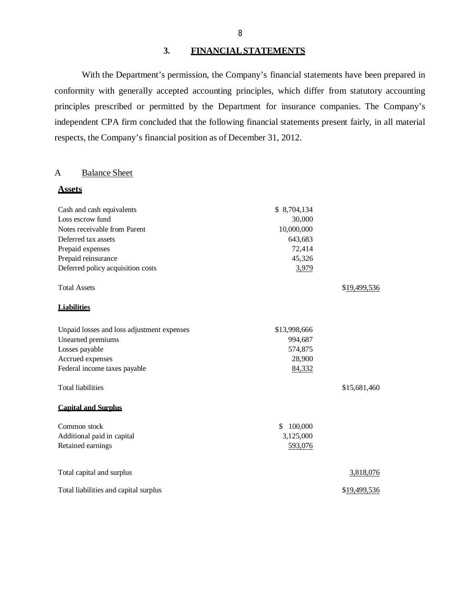## **3. FINANCIAL STATEMENTS**

With the Department's permission, the Company's financial statements have been prepared in conformity with generally accepted accounting principles, which differ from statutory accounting principles prescribed or permitted by the Department for insurance companies. The Company's independent CPA firm concluded that the following financial statements present fairly, in all material respects, the Company's financial position as of December 31, 2012.

#### A Balance Sheet

**Assets** 

| \$8,704,134<br>30,000<br>Notes receivable from Parent<br>10,000,000<br>643,683<br>72,414<br>Prepaid reinsurance<br>45,326<br>Deferred policy acquisition costs<br>3,979<br><b>Total Assets</b><br>\$19,499,536<br>Unpaid losses and loss adjustment expenses<br>\$13,998,666<br>Unearned premiums<br>994,687<br>574,875<br>Accrued expenses<br>28,900<br>84,332<br><b>Total liabilities</b><br>\$15,681,460<br><b>Capital and Surplus</b><br>\$.<br>100,000<br>Additional paid in capital<br>3,125,000<br>Retained earnings<br>593,076<br>Total capital and surplus<br>3,818,076<br>Total liabilities and capital surplus<br>\$19,499,536 |                              |  |
|-------------------------------------------------------------------------------------------------------------------------------------------------------------------------------------------------------------------------------------------------------------------------------------------------------------------------------------------------------------------------------------------------------------------------------------------------------------------------------------------------------------------------------------------------------------------------------------------------------------------------------------------|------------------------------|--|
|                                                                                                                                                                                                                                                                                                                                                                                                                                                                                                                                                                                                                                           | Cash and cash equivalents    |  |
|                                                                                                                                                                                                                                                                                                                                                                                                                                                                                                                                                                                                                                           | Loss escrow fund             |  |
|                                                                                                                                                                                                                                                                                                                                                                                                                                                                                                                                                                                                                                           |                              |  |
|                                                                                                                                                                                                                                                                                                                                                                                                                                                                                                                                                                                                                                           | Deferred tax assets          |  |
|                                                                                                                                                                                                                                                                                                                                                                                                                                                                                                                                                                                                                                           | Prepaid expenses             |  |
|                                                                                                                                                                                                                                                                                                                                                                                                                                                                                                                                                                                                                                           |                              |  |
|                                                                                                                                                                                                                                                                                                                                                                                                                                                                                                                                                                                                                                           |                              |  |
|                                                                                                                                                                                                                                                                                                                                                                                                                                                                                                                                                                                                                                           |                              |  |
|                                                                                                                                                                                                                                                                                                                                                                                                                                                                                                                                                                                                                                           | <b>Liabilities</b>           |  |
|                                                                                                                                                                                                                                                                                                                                                                                                                                                                                                                                                                                                                                           |                              |  |
|                                                                                                                                                                                                                                                                                                                                                                                                                                                                                                                                                                                                                                           |                              |  |
|                                                                                                                                                                                                                                                                                                                                                                                                                                                                                                                                                                                                                                           | Losses payable               |  |
|                                                                                                                                                                                                                                                                                                                                                                                                                                                                                                                                                                                                                                           |                              |  |
|                                                                                                                                                                                                                                                                                                                                                                                                                                                                                                                                                                                                                                           | Federal income taxes payable |  |
|                                                                                                                                                                                                                                                                                                                                                                                                                                                                                                                                                                                                                                           |                              |  |
|                                                                                                                                                                                                                                                                                                                                                                                                                                                                                                                                                                                                                                           |                              |  |
|                                                                                                                                                                                                                                                                                                                                                                                                                                                                                                                                                                                                                                           | Common stock                 |  |
|                                                                                                                                                                                                                                                                                                                                                                                                                                                                                                                                                                                                                                           |                              |  |
|                                                                                                                                                                                                                                                                                                                                                                                                                                                                                                                                                                                                                                           |                              |  |
|                                                                                                                                                                                                                                                                                                                                                                                                                                                                                                                                                                                                                                           |                              |  |
|                                                                                                                                                                                                                                                                                                                                                                                                                                                                                                                                                                                                                                           |                              |  |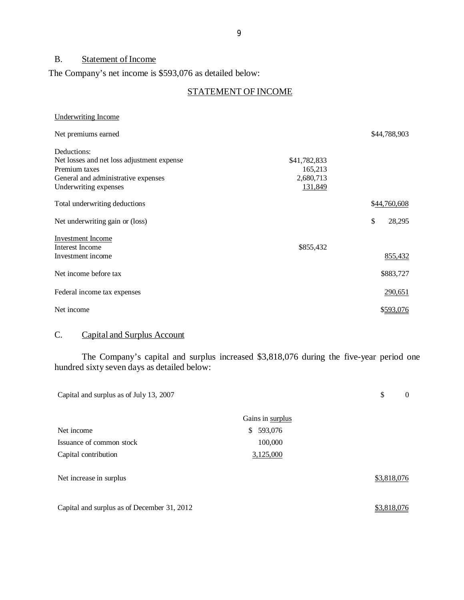## B. Statement of Income

The Company's net income is \$593,076 as detailed below:

## STATEMENT OF INCOME

| Underwriting Income                        |              |              |
|--------------------------------------------|--------------|--------------|
| Net premiums earned                        |              | \$44,788,903 |
| Deductions:                                |              |              |
| Net losses and net loss adjustment expense | \$41,782,833 |              |
| Premium taxes                              | 165,213      |              |
| General and administrative expenses        | 2,680,713    |              |
| Underwriting expenses                      | 131,849      |              |
| Total underwriting deductions              |              | \$44,760,608 |
| Net underwriting gain or (loss)            |              | \$<br>28,295 |
| <b>Investment Income</b>                   |              |              |
| Interest Income                            | \$855,432    |              |
| Investment income                          |              | 855,432      |
| Net income before tax                      |              | \$883,727    |
| Federal income tax expenses                |              | 290,651      |
| Net income                                 |              | \$593,076    |

## C. Capital and Surplus Account

The Company's capital and surplus increased \$3,818,076 during the five-year period one hundred sixty seven days as detailed below:

| Capital and surplus as of July 13, 2007     | \$<br>$\theta$   |             |
|---------------------------------------------|------------------|-------------|
|                                             | Gains in surplus |             |
| Net income                                  | 593,076<br>\$    |             |
| Issuance of common stock                    | 100,000          |             |
| Capital contribution                        | 3,125,000        |             |
| Net increase in surplus                     |                  | \$3,818,076 |
| Capital and surplus as of December 31, 2012 |                  | \$3,818,076 |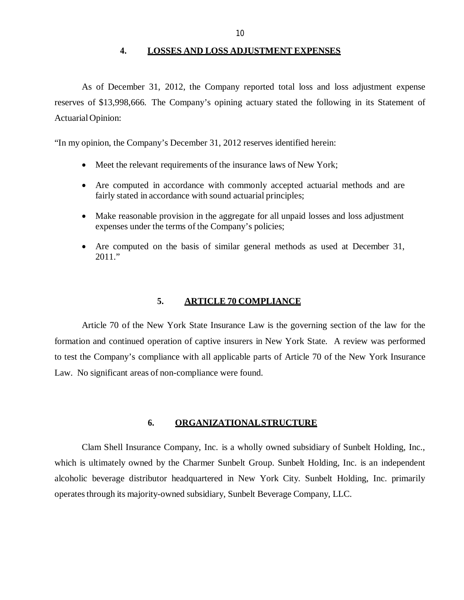**4. LOSSES AND LOSS ADJUSTMENT EXPENSES** 

<span id="page-11-0"></span>As of December 31, 2012, the Company reported total loss and loss adjustment expense reserves of \$13,998,666. The Company's opining actuary stated the following in its Statement of Actuarial Opinion:

"In my opinion, the Company's December 31, 2012 reserves identified herein:

- Meet the relevant requirements of the insurance laws of New York;
- Are computed in accordance with commonly accepted actuarial methods and are fairly stated in accordance with sound actuarial principles;
- Make reasonable provision in the aggregate for all unpaid losses and loss adjustment expenses under the terms of the Company's policies;
- Are computed on the basis of similar general methods as used at December 31, 2011."

#### **5. ARTICLE 70 COMPLIANCE**

Article 70 of the New York State Insurance Law is the governing section of the law for the formation and continued operation of captive insurers in New York State. A review was performed to test the Company's compliance with all applicable parts of Article 70 of the New York Insurance Law. No significant areas of non-compliance were found.

#### **6. ORGANIZATIONALSTRUCTURE**

Clam Shell Insurance Company, Inc. is a wholly owned subsidiary of Sunbelt Holding, Inc., which is ultimately owned by the Charmer Sunbelt Group. Sunbelt Holding, Inc. is an independent alcoholic beverage distributor headquartered in New York City. Sunbelt Holding, Inc. primarily operates through its majority-owned subsidiary, Sunbelt Beverage Company, LLC.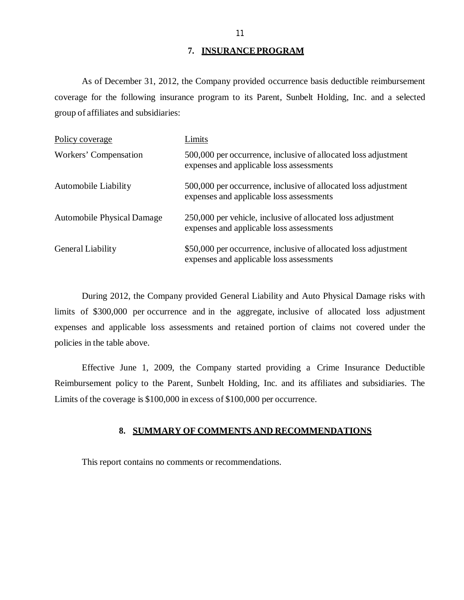#### **7. INSURANCE PROGRAM**

As of December 31, 2012, the Company provided occurrence basis deductible reimbursement coverage for the following insurance program to its Parent, Sunbelt Holding, Inc. and a selected group of affiliates and subsidiaries:

| Policy coverage                   | Limits                                                                                                      |
|-----------------------------------|-------------------------------------------------------------------------------------------------------------|
| Workers' Compensation             | 500,000 per occurrence, inclusive of allocated loss adjustment<br>expenses and applicable loss assessments  |
| Automobile Liability              | 500,000 per occurrence, inclusive of allocated loss adjustment<br>expenses and applicable loss assessments  |
| <b>Automobile Physical Damage</b> | 250,000 per vehicle, inclusive of allocated loss adjustment<br>expenses and applicable loss assessments     |
| General Liability                 | \$50,000 per occurrence, inclusive of allocated loss adjustment<br>expenses and applicable loss assessments |

During 2012, the Company provided General Liability and Auto Physical Damage risks with limits of \$300,000 per occurrence and in the aggregate, inclusive of allocated loss adjustment expenses and applicable loss assessments and retained portion of claims not covered under the policies in the table above.

Effective June 1, 2009, the Company started providing a Crime Insurance Deductible Reimbursement policy to the Parent, Sunbelt Holding, Inc. and its affiliates and subsidiaries. The Limits of the coverage is \$100,000 in excess of \$100,000 per occurrence.

#### **8. SUMMARY OF COMMENTS AND RECOMMENDATIONS**

This report contains no comments or recommendations.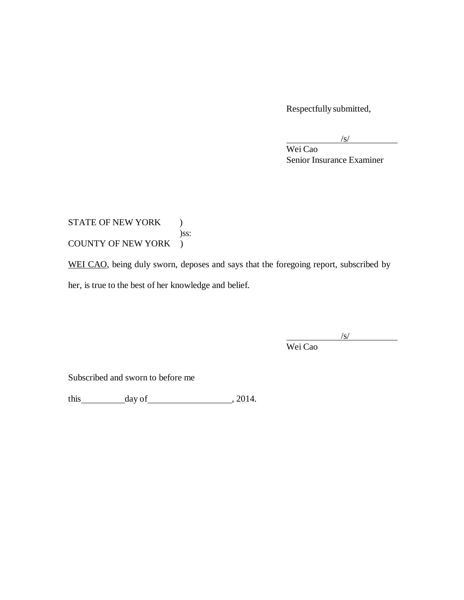Respectfully submitted,

 $\sqrt{s/2}$ 

Wei Cao Senior Insurance Examiner

STATE OF NEW YORK ) )ss: COUNTY OF NEW YORK )

WEI CAO, being duly sworn, deposes and says that the foregoing report, subscribed by her, is true to the best of her knowledge and belief.

 $\sqrt{s/}$ 

Wei Cao

Subscribed and sworn to before me

this day of 12014.